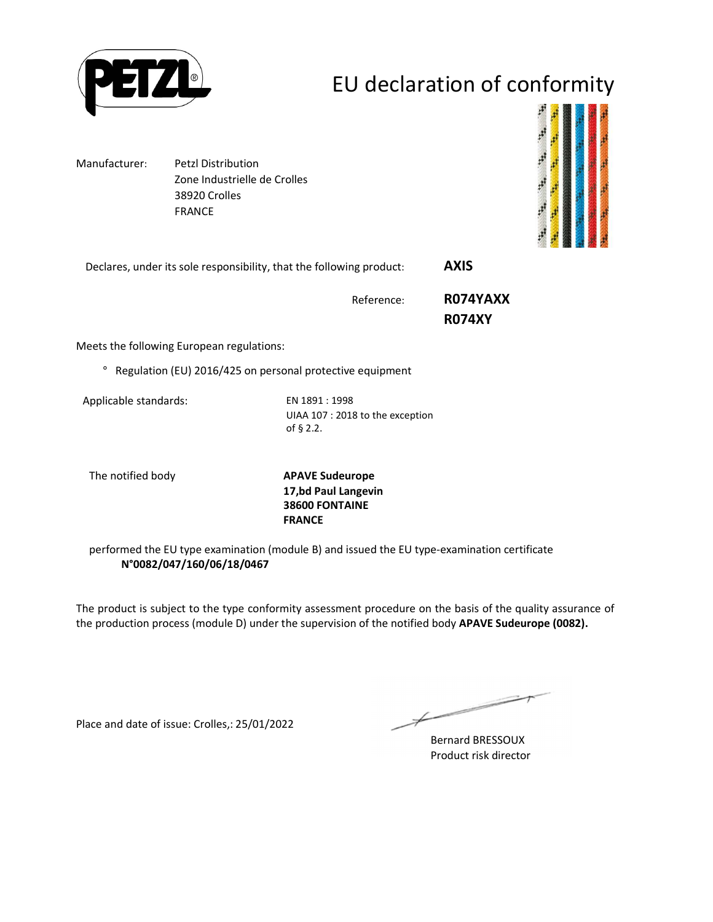

## EU declaration of conformity

Manufacturer: Petzl Distribution Zone Industrielle de Crolles 38920 Crolles FRANCE



Declares, under its sole responsibility, that the following product: **AXIS** 

Reference: **R074YAXX** 

 **R074XY**

Meets the following European regulations:

° Regulation (EU) 2016/425 on personal protective equipment

Applicable standards: EN 1891 : 1998

UIAA 107 : 2018 to the exception of § 2.2.

The notified body **APAVE Sudeurope 17,bd Paul Langevin 38600 FONTAINE FRANCE**

performed the EU type examination (module B) and issued the EU type-examination certificate **N°0082/047/160/06/18/0467**

The product is subject to the type conformity assessment procedure on the basis of the quality assurance of the production process (module D) under the supervision of the notified body **APAVE Sudeurope (0082).**

Place and date of issue: Crolles,: 25/01/2022

 $\implies$  $\not\!\!\!\!/$ 

Bernard BRESSOUX Product risk director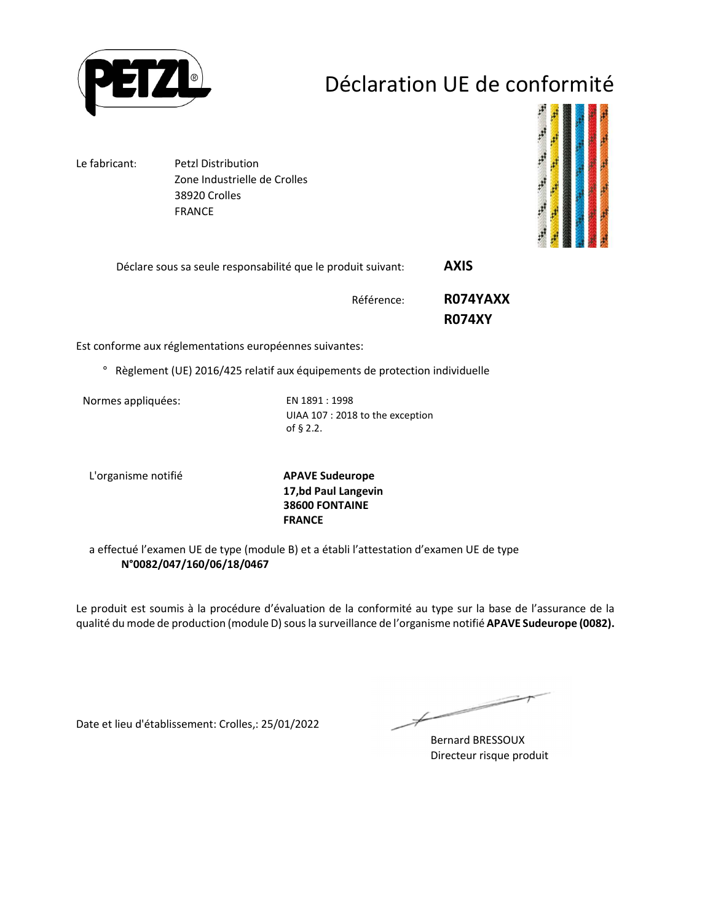

## Déclaration UE de conformité

Le fabricant: Petzl Distribution Zone Industrielle de Crolles 38920 Crolles FRANCE



Déclare sous sa seule responsabilité que le produit suivant: **AXIS** 

Référence: **R074YAXX R074XY**

Est conforme aux réglementations européennes suivantes:

° Règlement (UE) 2016/425 relatif aux équipements de protection individuelle

Normes appliquées: EN 1891 : 1998

UIAA 107 : 2018 to the exception of § 2.2.

L'organisme notifié **APAVE Sudeurope**

**17,bd Paul Langevin 38600 FONTAINE FRANCE**

a effectué l'examen UE de type (module B) et a établi l'attestation d'examen UE de type **N°0082/047/160/06/18/0467**

Le produit est soumis à la procédure d'évaluation de la conformité au type sur la base de l'assurance de la qualité du mode de production (module D) sous la surveillance de l'organisme notifié **APAVE Sudeurope (0082).**

Date et lieu d'établissement: Crolles,: 25/01/2022

 $\not\!\!\!\!/$ 

Bernard BRESSOUX Directeur risque produit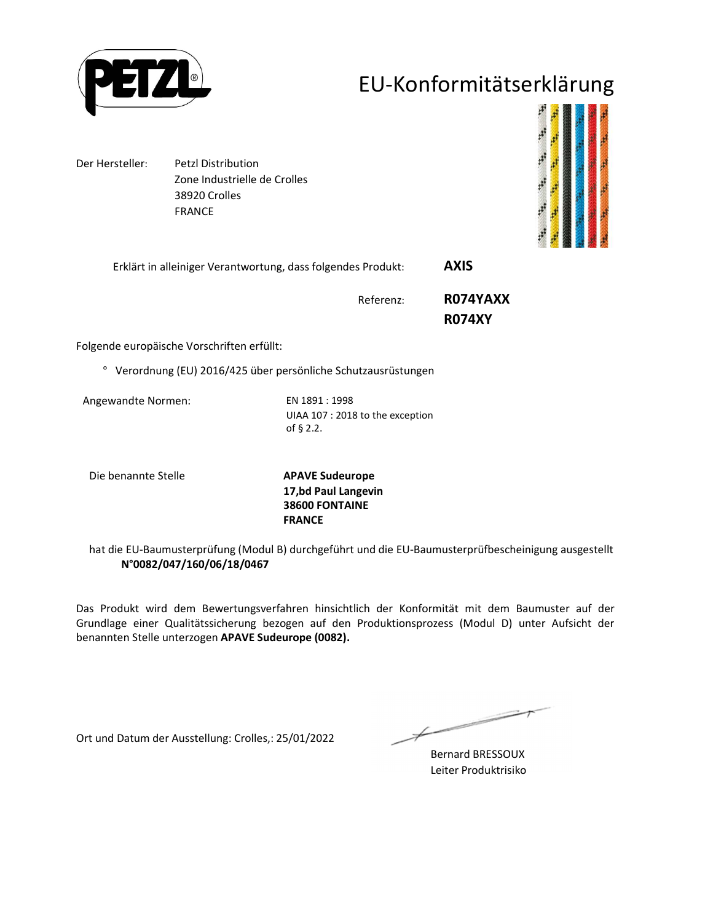

### EU-Konformitätserklärung

Der Hersteller: Petzl Distribution Zone Industrielle de Crolles 38920 Crolles FRANCE



Erklärt in alleiniger Verantwortung, dass folgendes Produkt: **AXIS** 

Referenz: **R074YAXX** 

 **R074XY**

Folgende europäische Vorschriften erfüllt:

° Verordnung (EU) 2016/425 über persönliche Schutzausrüstungen

Angewandte Normen: EN 1891 : 1998

UIAA 107 : 2018 to the exception of § 2.2.

Die benannte Stelle **APAVE Sudeurope**

**17,bd Paul Langevin 38600 FONTAINE FRANCE**

hat die EU-Baumusterprüfung (Modul B) durchgeführt und die EU-Baumusterprüfbescheinigung ausgestellt **N°0082/047/160/06/18/0467**

Das Produkt wird dem Bewertungsverfahren hinsichtlich der Konformität mit dem Baumuster auf der Grundlage einer Qualitätssicherung bezogen auf den Produktionsprozess (Modul D) unter Aufsicht der benannten Stelle unterzogen **APAVE Sudeurope (0082).**

Ort und Datum der Ausstellung: Crolles,: 25/01/2022

 $\overline{\phantom{a}}$ 

Bernard BRESSOUX Leiter Produktrisiko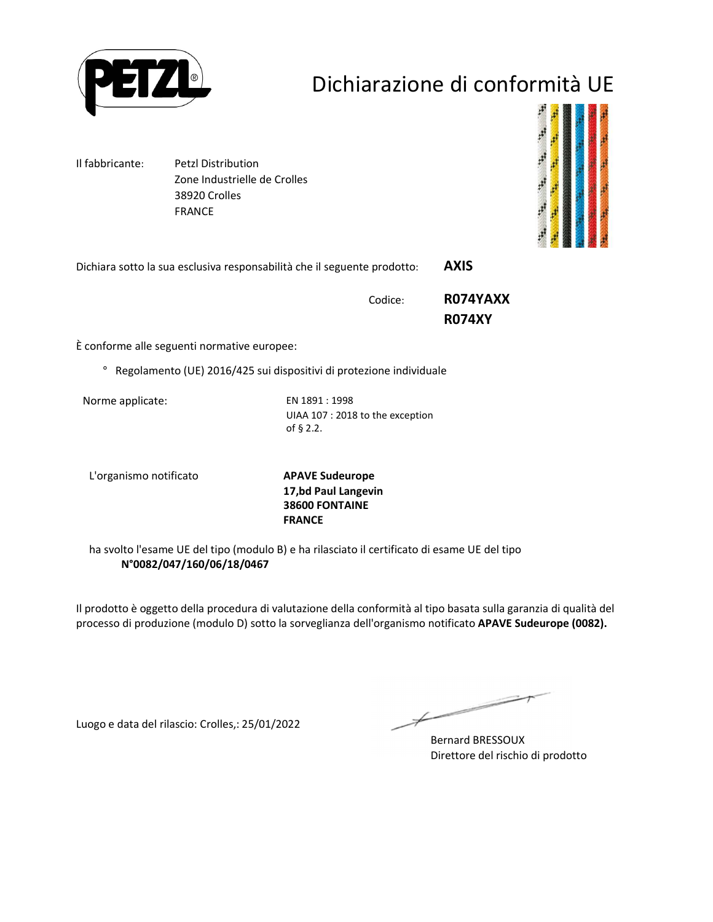

## Dichiarazione di conformità UE

Il fabbricante: Petzl Distribution Zone Industrielle de Crolles 38920 Crolles FRANCE



Dichiara sotto la sua esclusiva responsabilità che il seguente prodotto: **AXIS** 

Codice: **R074YAXX R074XY**

È conforme alle seguenti normative europee:

° Regolamento (UE) 2016/425 sui dispositivi di protezione individuale

Norme applicate: EN 1891 : 1998

UIAA 107 : 2018 to the exception of § 2.2.

L'organismo notificato **APAVE Sudeurope**

**17,bd Paul Langevin 38600 FONTAINE FRANCE**

ha svolto l'esame UE del tipo (modulo B) e ha rilasciato il certificato di esame UE del tipo **N°0082/047/160/06/18/0467**

Il prodotto è oggetto della procedura di valutazione della conformità al tipo basata sulla garanzia di qualità del processo di produzione (modulo D) sotto la sorveglianza dell'organismo notificato **APAVE Sudeurope (0082).**

Luogo e data del rilascio: Crolles,: 25/01/2022

 $\not\!\!\!-\!\!\!-\!\!\!-$ 

Bernard BRESSOUX Direttore del rischio di prodotto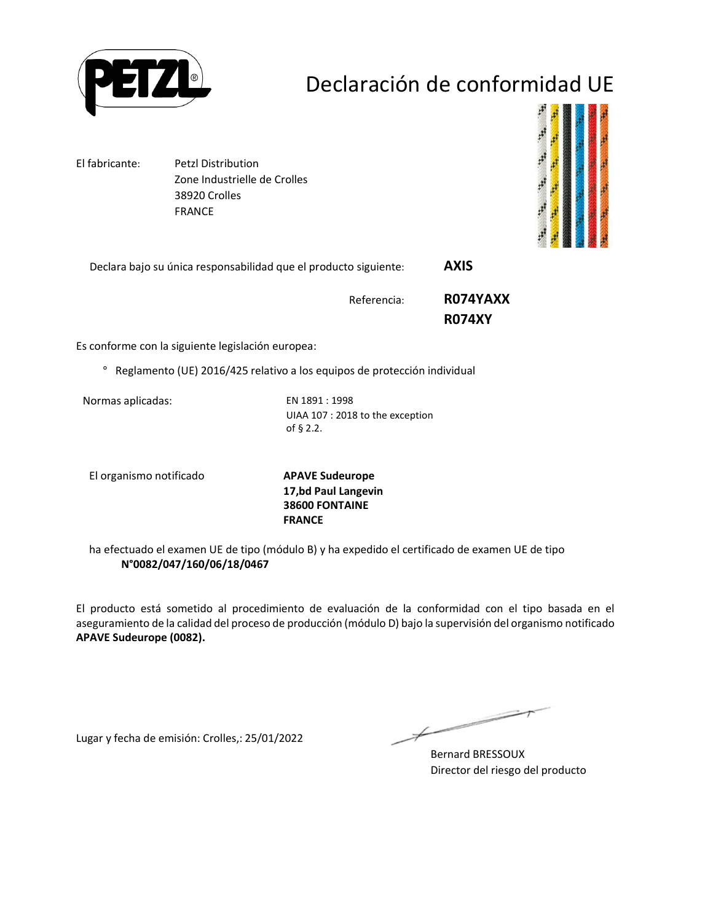

# Declaración de conformidad UE

El fabricante: Petzl Distribution Zone Industrielle de Crolles 38920 Crolles FRANCE



Declara bajo su única responsabilidad que el producto siguiente: **AXIS** 

Referencia: **R074YAXX R074XY**

Es conforme con la siguiente legislación europea:

° Reglamento (UE) 2016/425 relativo a los equipos de protección individual

Normas aplicadas: EN 1891 : 1998

UIAA 107 : 2018 to the exception of § 2.2.

El organismo notificado **APAVE Sudeurope**

**17,bd Paul Langevin 38600 FONTAINE FRANCE**

ha efectuado el examen UE de tipo (módulo B) y ha expedido el certificado de examen UE de tipo **N°0082/047/160/06/18/0467**

El producto está sometido al procedimiento de evaluación de la conformidad con el tipo basada en el aseguramiento de la calidad del proceso de producción (módulo D) bajo la supervisión del organismo notificado **APAVE Sudeurope (0082).**

Lugar y fecha de emisión: Crolles,: 25/01/2022

 $\overline{\phantom{a}}$ 

Bernard BRESSOUX Director del riesgo del producto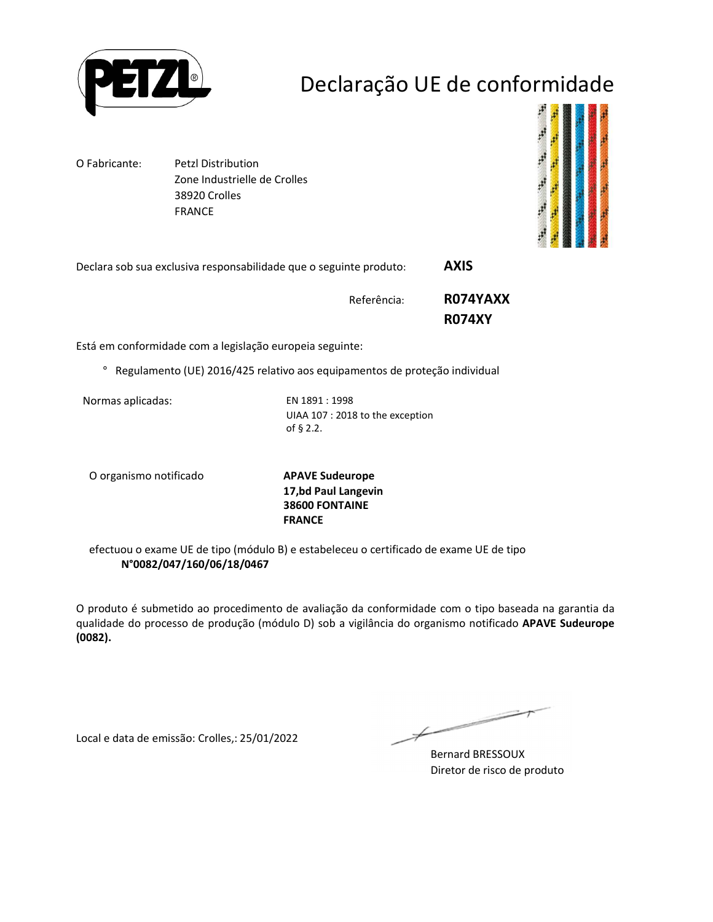

## Declaração UE de conformidade

O Fabricante: Petzl Distribution Zone Industrielle de Crolles 38920 Crolles FRANCE



Declara sob sua exclusiva responsabilidade que o seguinte produto: **AXIS** 

Referência: **R074YAXX R074XY**

Está em conformidade com a legislação europeia seguinte:

° Regulamento (UE) 2016/425 relativo aos equipamentos de proteção individual

Normas aplicadas: EN 1891 : 1998

UIAA 107 : 2018 to the exception of § 2.2.

O organismo notificado **APAVE Sudeurope**

**17,bd Paul Langevin 38600 FONTAINE FRANCE**

efectuou o exame UE de tipo (módulo B) e estabeleceu o certificado de exame UE de tipo **N°0082/047/160/06/18/0467**

O produto é submetido ao procedimento de avaliação da conformidade com o tipo baseada na garantia da qualidade do processo de produção (módulo D) sob a vigilância do organismo notificado **APAVE Sudeurope (0082).**

Local e data de emissão: Crolles,: 25/01/2022

 $\overline{\phantom{a}}$ 

Bernard BRESSOUX Diretor de risco de produto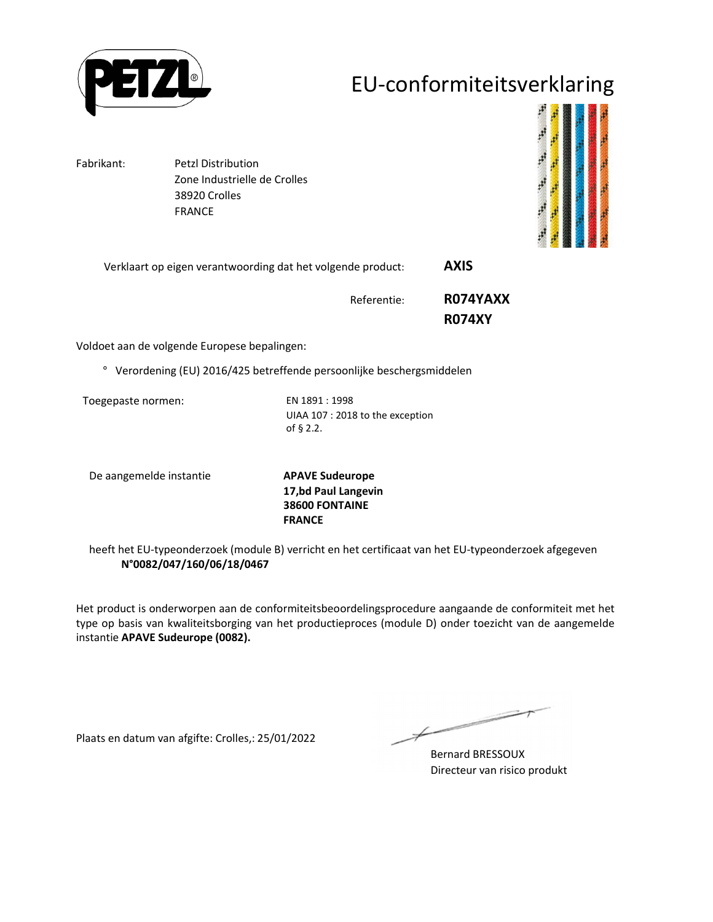

### EU-conformiteitsverklaring

Fabrikant: Petzl Distribution Zone Industrielle de Crolles 38920 Crolles FRANCE



Verklaart op eigen verantwoording dat het volgende product: **AXIS** 

Referentie: **R074YAXX R074XY**

Voldoet aan de volgende Europese bepalingen:

° Verordening (EU) 2016/425 betreffende persoonlijke beschergsmiddelen

Toegepaste normen: EN 1891 : 1998

UIAA 107 : 2018 to the exception of § 2.2.

De aangemelde instantie **APAVE Sudeurope**

**17,bd Paul Langevin 38600 FONTAINE FRANCE**

heeft het EU-typeonderzoek (module B) verricht en het certificaat van het EU-typeonderzoek afgegeven **N°0082/047/160/06/18/0467**

Het product is onderworpen aan de conformiteitsbeoordelingsprocedure aangaande de conformiteit met het type op basis van kwaliteitsborging van het productieproces (module D) onder toezicht van de aangemelde instantie **APAVE Sudeurope (0082).**

Plaats en datum van afgifte: Crolles,: 25/01/2022

 $\overline{\phantom{a}}$ 

Bernard BRESSOUX Directeur van risico produkt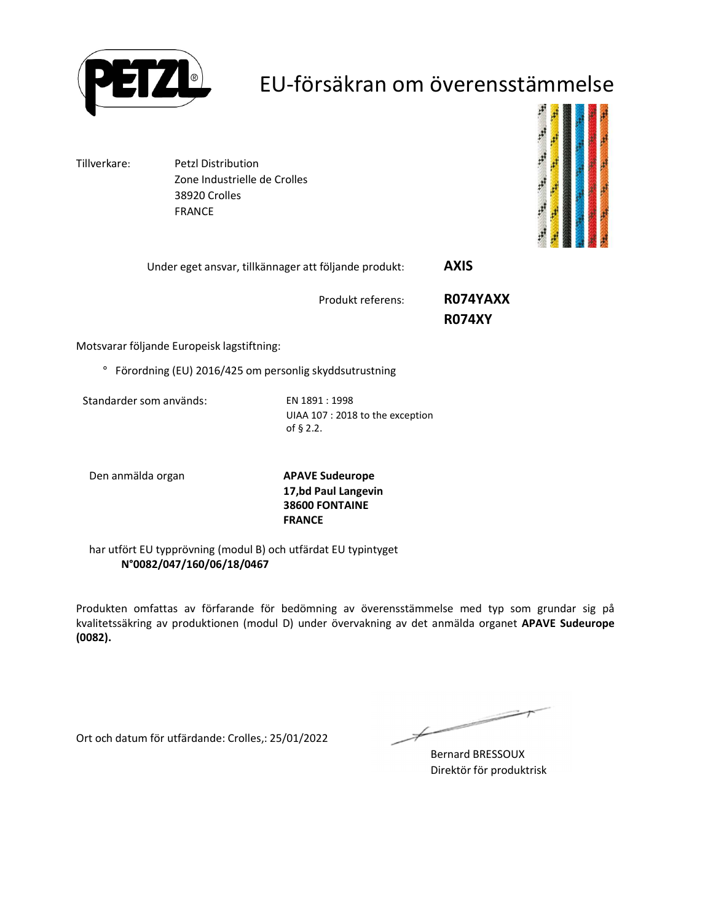

## EU-försäkran om överensstämmelse

Tillverkare: Petzl Distribution Zone Industrielle de Crolles 38920 Crolles FRANCE



| Under eget ansvar, tillkännager att följande produkt: | <b>AXIS</b> |  |
|-------------------------------------------------------|-------------|--|
|                                                       |             |  |

Produkt referens: **R074YAXX** 

 **R074XY**

Motsvarar följande Europeisk lagstiftning:

° Förordning (EU) 2016/425 om personlig skyddsutrustning

Standarder som används: EN 1891 : 1998

UIAA 107 : 2018 to the exception of § 2.2.

Den anmälda organ **APAVE Sudeurope**

**17,bd Paul Langevin 38600 FONTAINE FRANCE**

har utfört EU typprövning (modul B) och utfärdat EU typintyget **N°0082/047/160/06/18/0467**

Produkten omfattas av förfarande för bedömning av överensstämmelse med typ som grundar sig på kvalitetssäkring av produktionen (modul D) under övervakning av det anmälda organet **APAVE Sudeurope (0082).**

Ort och datum för utfärdande: Crolles,: 25/01/2022

 $\overline{\phantom{a}}$ 

Bernard BRESSOUX Direktör för produktrisk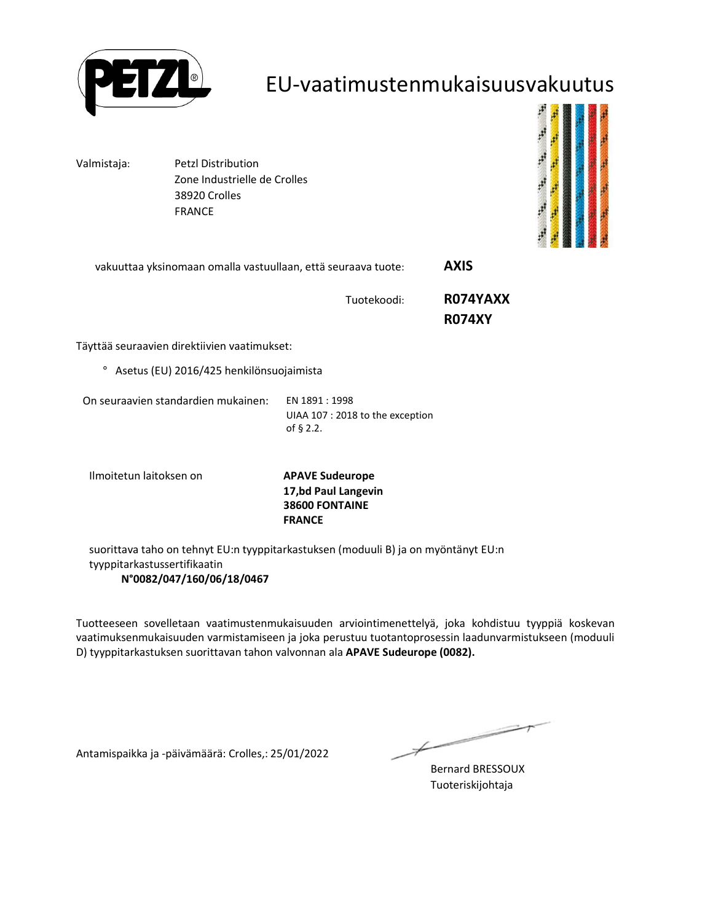

#### EU-vaatimustenmukaisuusvakuutus

Valmistaja: Petzl Distribution Zone Industrielle de Crolles 38920 Crolles FRANCE



vakuuttaa yksinomaan omalla vastuullaan, että seuraava tuote: **AXIS** 

Tuotekoodi: **R074YAXX** 

 **R074XY**

Täyttää seuraavien direktiivien vaatimukset:

° Asetus (EU) 2016/425 henkilönsuojaimista

On seuraavien standardien mukainen: EN 1891 : 1998

UIAA 107 : 2018 to the exception of § 2.2.

Ilmoitetun laitoksen on **APAVE Sudeurope**

**17,bd Paul Langevin 38600 FONTAINE FRANCE**

suorittava taho on tehnyt EU:n tyyppitarkastuksen (moduuli B) ja on myöntänyt EU:n tyyppitarkastussertifikaatin **N°0082/047/160/06/18/0467**

Tuotteeseen sovelletaan vaatimustenmukaisuuden arviointimenettelyä, joka kohdistuu tyyppiä koskevan vaatimuksenmukaisuuden varmistamiseen ja joka perustuu tuotantoprosessin laadunvarmistukseen (moduuli D) tyyppitarkastuksen suorittavan tahon valvonnan ala **APAVE Sudeurope (0082).**

Antamispaikka ja -päivämäärä: Crolles,: 25/01/2022

一

Bernard BRESSOUX Tuoteriskijohtaja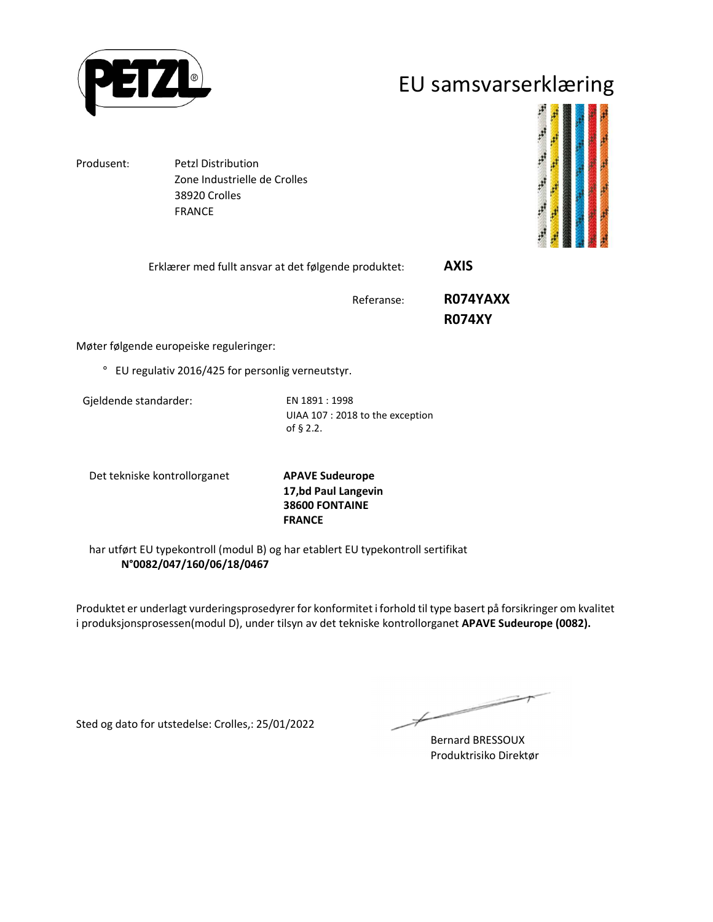

### EU samsvarserklæring

Produsent: Petzl Distribution Zone Industrielle de Crolles 38920 Crolles FRANCE



Erklærer med fullt ansvar at det følgende produktet: **AXIS** 

Referanse: **R074YAXX** 

 **R074XY**

Møter følgende europeiske reguleringer:

° EU regulativ 2016/425 for personlig verneutstyr.

Gjeldende standarder: EN 1891 : 1998

UIAA 107 : 2018 to the exception of § 2.2.

Det tekniske kontrollorganet **APAVE Sudeurope**

**17,bd Paul Langevin 38600 FONTAINE FRANCE**

har utført EU typekontroll (modul B) og har etablert EU typekontroll sertifikat **N°0082/047/160/06/18/0467**

Produktet er underlagt vurderingsprosedyrer for konformitet i forhold til type basert på forsikringer om kvalitet i produksjonsprosessen(modul D), under tilsyn av det tekniske kontrollorganet **APAVE Sudeurope (0082).**

Sted og dato for utstedelse: Crolles,: 25/01/2022

 $\overline{\phantom{a}}$  $\not\!\!\!\!/$ 

Bernard BRESSOUX Produktrisiko Direktør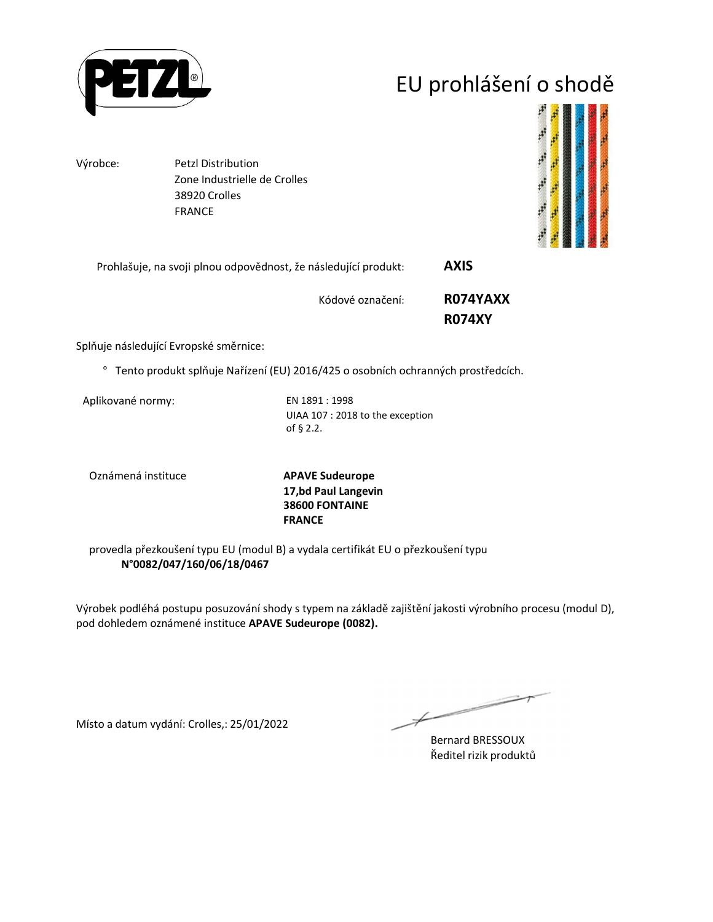

# EU prohlášení o shodě

Výrobce: Petzl Distribution Zone Industrielle de Crolles 38920 Crolles FRANCE



| Prohlašuje, na svoji plnou odpovědnost, že následující produkt: | <b>AXIS</b>   |
|-----------------------------------------------------------------|---------------|
| Kódové označení:                                                | R074YAXX      |
|                                                                 | <b>R074XY</b> |

Splňuje následující Evropské směrnice:

° Tento produkt splňuje Nařízení (EU) 2016/425 o osobních ochranných prostředcích.

Aplikované normy: EN 1891 : 1998

UIAA 107 : 2018 to the exception of § 2.2.

Oznámená instituce **APAVE Sudeurope**

**17,bd Paul Langevin 38600 FONTAINE FRANCE**

provedla přezkoušení typu EU (modul B) a vydala certifikát EU o přezkoušení typu **N°0082/047/160/06/18/0467**

Výrobek podléhá postupu posuzování shody s typem na základě zajištění jakosti výrobního procesu (modul D), pod dohledem oznámené instituce **APAVE Sudeurope (0082).**

Místo a datum vydání: Crolles,: 25/01/2022

Ł

Bernard BRESSOUX Ředitel rizik produktů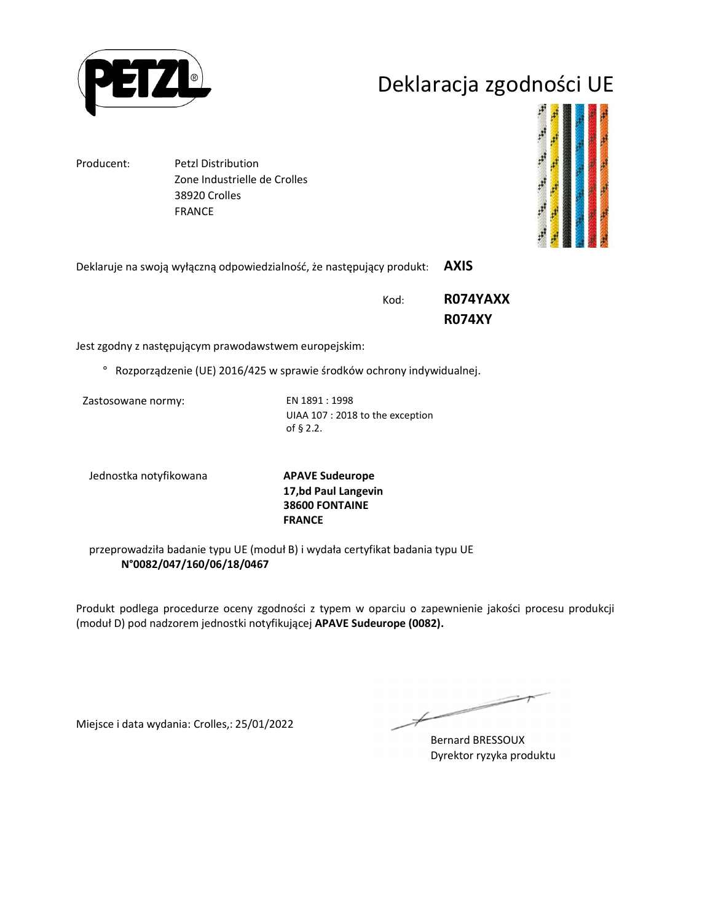

## Deklaracja zgodności UE

Producent: Petzl Distribution

 Zone Industrielle de Crolles 38920 Crolles FRANCE



Deklaruje na swoją wyłączną odpowiedzialność, że następujący produkt: **AXIS** 

Kod: **R074YAXX R074XY**

Jest zgodny z następującym prawodawstwem europejskim:

° Rozporządzenie (UE) 2016/425 w sprawie środków ochrony indywidualnej.

Zastosowane normy: EN 1891 : 1998

UIAA 107 : 2018 to the exception of § 2.2.

Jednostka notyfikowana **APAVE Sudeurope**

**17,bd Paul Langevin 38600 FONTAINE FRANCE**

przeprowadziła badanie typu UE (moduł B) i wydała certyfikat badania typu UE **N°0082/047/160/06/18/0467**

Produkt podlega procedurze oceny zgodności z typem w oparciu o zapewnienie jakości procesu produkcji (moduł D) pod nadzorem jednostki notyfikującej **APAVE Sudeurope (0082).**

Miejsce i data wydania: Crolles,: 25/01/2022

 $\not\!\!\!\!/$ 

Bernard BRESSOUX Dyrektor ryzyka produktu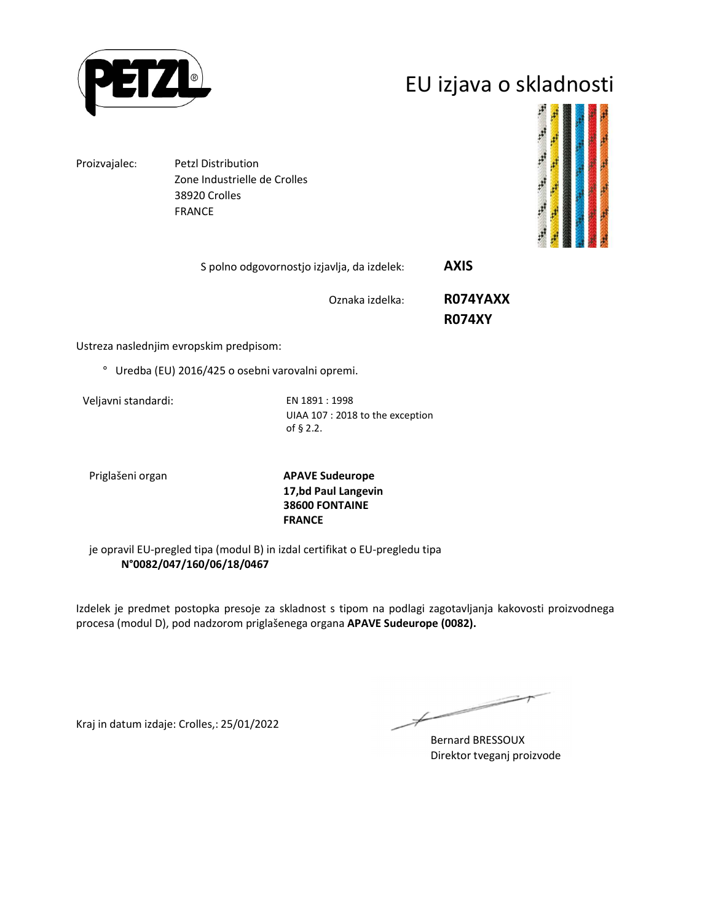

## EU izjava o skladnosti

Proizvajalec: Petzl Distribution Zone Industrielle de Crolles 38920 Crolles FRANCE



S polno odgovornostjo izjavlja, da izdelek: **AXIS** 

Oznaka izdelka: **R074YAXX** 

 **R074XY**

Ustreza naslednjim evropskim predpisom:

° Uredba (EU) 2016/425 o osebni varovalni opremi.

Veljavni standardi: EN 1891 : 1998

UIAA 107 : 2018 to the exception of § 2.2.

Priglašeni organ **APAVE Sudeurope 17,bd Paul Langevin 38600 FONTAINE FRANCE**

je opravil EU-pregled tipa (modul B) in izdal certifikat o EU-pregledu tipa **N°0082/047/160/06/18/0467**

Izdelek je predmet postopka presoje za skladnost s tipom na podlagi zagotavljanja kakovosti proizvodnega procesa (modul D), pod nadzorom priglašenega organa **APAVE Sudeurope (0082).**

Kraj in datum izdaje: Crolles,: 25/01/2022

 $\not\!\!\!\!/$ 

Bernard BRESSOUX Direktor tveganj proizvode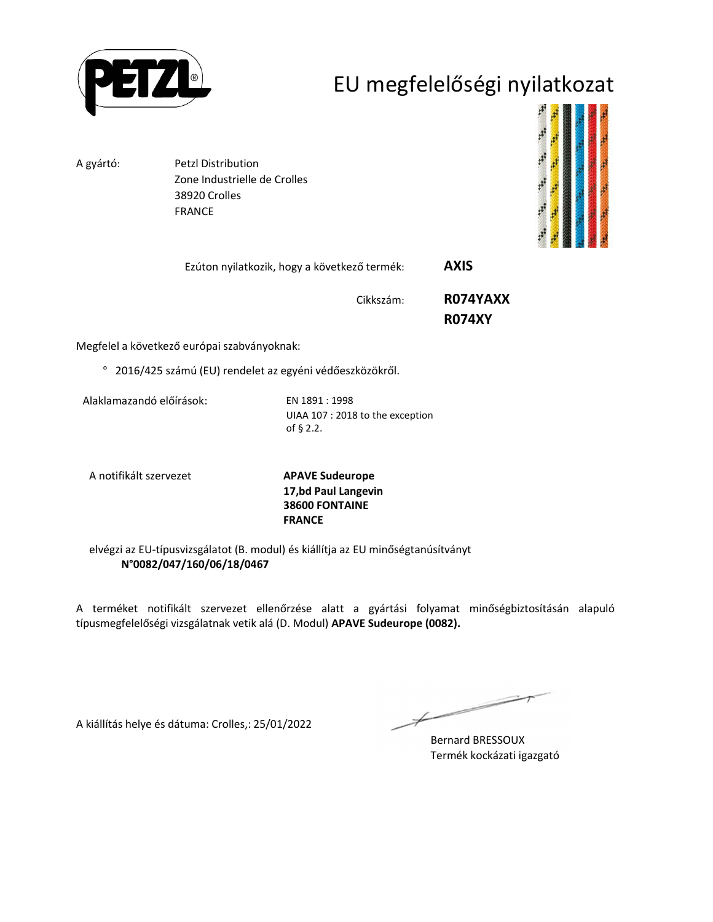

## EU megfelelőségi nyilatkozat

A gyártó: Petzl Distribution

 Zone Industrielle de Crolles 38920 Crolles FRANCE



| Ezúton nyilatkozik, hogy a következő termék: | <b>AXIS</b> |
|----------------------------------------------|-------------|
|                                              |             |

Cikkszám: **R074YAXX** 

 **R074XY**

Megfelel a következő európai szabványoknak:

° 2016/425 számú (EU) rendelet az egyéni védőeszközökről.

Alaklamazandó előírások: EN 1891 : 1998

UIAA 107 : 2018 to the exception of § 2.2.

A notifikált szervezet **APAVE Sudeurope**

**17,bd Paul Langevin 38600 FONTAINE FRANCE**

elvégzi az EU-típusvizsgálatot (B. modul) és kiállítja az EU minőségtanúsítványt **N°0082/047/160/06/18/0467**

A terméket notifikált szervezet ellenőrzése alatt a gyártási folyamat minőségbiztosításán alapuló típusmegfelelőségi vizsgálatnak vetik alá (D. Modul) **APAVE Sudeurope (0082).**

A kiállítás helye és dátuma: Crolles,: 25/01/2022

 $\overline{\phantom{a}}$ Ł

Bernard BRESSOUX Termék kockázati igazgató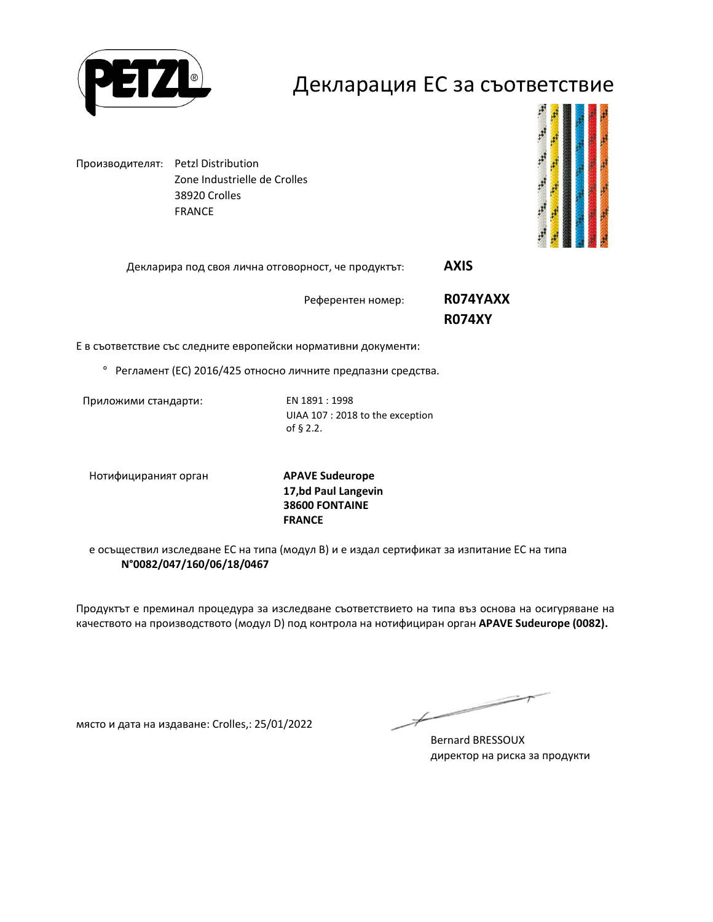

#### Декларация ЕС за съответствие

Производителят: Petzl Distribution Zone Industrielle de Crolles 38920 Crolles FRANCE



Декларира под своя лична отговорност, че продуктът: **AXIS** 

Референтен номер: **R074YAXX R074XY**

Е в съответствие със следните европейски нормативни документи:

° Регламент (ЕС) 2016/425 относно личните предпазни средства.

Приложими стандарти: EN 1891 : 1998

UIAA 107 : 2018 to the exception of § 2.2.

Нотифицираният орган **APAVE Sudeurope**

**17,bd Paul Langevin 38600 FONTAINE FRANCE**

е осъществил изследване ЕС на типа (модул В) и е издал сертификат за изпитание ЕС на типа **N°0082/047/160/06/18/0467**

Продуктът е преминал процедура за изследване съответствието на типа въз основа на осигуряване на качеството на производството (модул D) под контрола на нотифициран орган **APAVE Sudeurope (0082).**

място и дата на издаване: Crolles,: 25/01/2022

 $\not\!\!\!-\!\!\!-\!\!\!-$ 

Bernard BRESSOUX директор на риска за продукти